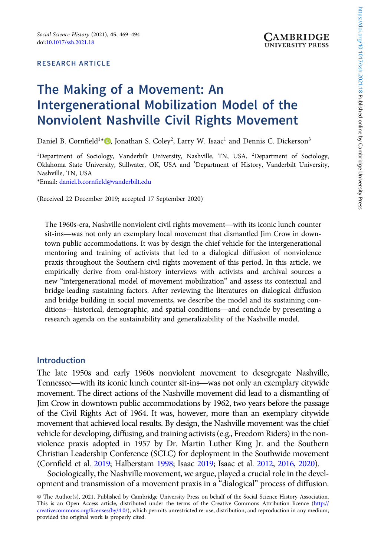#### RESEARCH ARTICLE

# The Making of a Movement: An Intergenerational Mobilization Model of the Nonviolent Nashville Civil Rights Movement

Daniel B. Cornfield<sup>1\*</sup><sup>®</sup>, Jonathan S. Coley<sup>2</sup>, Larry W. Isaac<sup>1</sup> and Dennis C. Dickerson<sup>3</sup>

<sup>1</sup>Department of Sociology, Vanderbilt University, Nashville, TN, USA, <sup>2</sup>Department of Sociology, Oklahoma State University, Stillwater, OK, USA and <sup>3</sup>Department of History, Vanderbilt University, Nashville, TN, USA

\*Email: [daniel.b.cornfield@vanderbilt.edu](mailto:daniel.b.cornfield@vanderbilt.edu)

(Received 22 December 2019; accepted 17 September 2020)

The 1960s-era, Nashville nonviolent civil rights movement—with its iconic lunch counter sit-ins—was not only an exemplary local movement that dismantled Jim Crow in downtown public accommodations. It was by design the chief vehicle for the intergenerational mentoring and training of activists that led to a dialogical diffusion of nonviolence praxis throughout the Southern civil rights movement of this period. In this article, we empirically derive from oral-history interviews with activists and archival sources a empirically derive from oral motory interviews with derived and aremvial obsited a<br>new "intergenerational model of movement mobilization" and assess its contextual and<br>bridge-leading sustaining factors. After reviewing the bridge-leading sustaining factors. After reviewing the literatures on dialogical diffusion and bridge building in social movements, we describe the model and its sustaining conresearch agenda on the sustainability and generalizability of the Nashville model.

#### Introduction

The late 1950s and early 1960s nonviolent movement to desegregate Nashville, Tennessee—with its iconic lunch counter sit-ins—was not only an exemplary citywide movement. The direct actions of the Nashville movement did lead to a dismantling of Jim Crow in downtown public accommodations by 1962, two years before the passage of the Civil Rights Act of 1964. It was, however, more than an exemplary citywide movement that achieved local results. By design, the Nashville movement was the chief vehicle for developing, diffusing, and training activists (e.g., Freedom Riders) in the nonviolence praxis adopted in 1957 by Dr. Martin Luther King Jr. and the Southern Christian Leadership Conference (SCLC) for deployment in the Southwide movement (Cornfield et al. 2019; Halberstam 1998; Isaac 2019; Isaac et al. 2012, 2016, 2020).

Sociologically, the Nashville movement, we argue, played a crucial role in the development and transmission of a movement praxis in a "dialogical" process of diffusion.

<sup>©</sup> The Author(s), 2021. Published by Cambridge University Press on behalf of the Social Science History Association. This is an Open Access article, distributed under the terms of the Creative Commons Attribution licence [\(http://](http://creativecommons.org/licenses/by/4.0/) [creativecommons.org/licenses/by/4.0/](http://creativecommons.org/licenses/by/4.0/)), which permits unrestricted re-use, distribution, and reproduction in any medium, provided the original work is properly cited.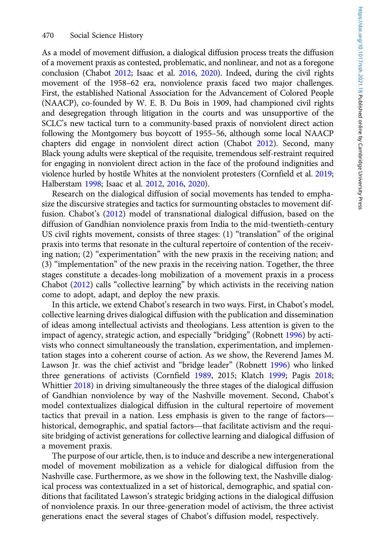As a model of movement diffusion, a dialogical diffusion process treats the diffusion of a movement praxis as contested, problematic, and nonlinear, and not as a foregone conclusion (Chabot 2012; Isaac et al. 2016, 2020). Indeed, during the civil rights movement of the 1958–62 era, nonviolence praxis faced two major challenges. First, the established National Association for the Advancement of Colored People (NAACP), co-founded by W. E. B. Du Bois in 1909, had championed civil rights and desegregation through litigation in the courts and was unsupportive of the SCLC's new tactical turn to a community-based praxis of nonviolent direct action following the Montgomery bus boycott of 1955–56, although some local NAACP chapters did engage in nonviolent direct action (Chabot 2012). Second, many Black young adults were skeptical of the requisite, tremendous self-restraint required for engaging in nonviolent direct action in the face of the profound indignities and violence hurled by hostile Whites at the nonviolent protesters (Cornfield et al. 2019; Halberstam 1998; Isaac et al. 2012, 2016, 2020).

Research on the dialogical diffusion of social movements has tended to emphasize the discursive strategies and tactics for surmounting obstacles to movement diffusion. Chabot's (2012) model of transnational dialogical diffusion, based on the diffusion of Gandhian nonviolence praxis from India to the mid-twentieth-century US civil rights movement, consists of three stages: (1) "translation" of the original praxis into terms that resonate in the cultural repertoire of contention of the receiving nation; (2) "experimentation" with the new praxis in the receiving nation; and (3) "implementation" of the new praxis in the receiving nation. Together, the three stages constitute a decades-long mobilization of a movement praxis in a process Chabot (2012) calls "collective learning" by which activists in the receiving nation come to adopt, adapt, and deploy the new praxis.

In this article, we extend Chabot's research in two ways. First, in Chabot's model, collective learning drives dialogical diffusion with the publication and dissemination of ideas among intellectual activists and theologians. Less attention is given to the impact of agency, strategic action, and especially "bridging" (Robnett 1996) by activists who connect simultaneously the translation, experimentation, and implementation stages into a coherent course of action. As we show, the Reverend James M. Lawson Jr. was the chief activist and "bridge leader" (Robnett 1996) who linked three generations of activists (Cornfield 1989, 2015; Klatch 1999; Pagis 2018; Whittier 2018) in driving simultaneously the three stages of the dialogical diffusion of Gandhian nonviolence by way of the Nashville movement. Second, Chabot's model contextualizes dialogical diffusion in the cultural repertoire of movement three generations of activists (Cornfield 1989, 2015; Klatch 1999; Pagis 2018;<br>Whittier 2018) in driving simultaneously the three stages of the dialogical diffusion<br>of Gandhian nonviolence by way of the Nashville movement. whittier 2018) in ariving simultaneously the three stages of the dialogical diffusion<br>of Gandhian nonviolence by way of the Nashville movement. Second, Chabot's<br>model contextualizes dialogical diffusion in the cultural rep site bridging of activist generations for collective learning and dialogical diffusion of a movement praxis.

The purpose of our article, then, is to induce and describe a new intergenerational model of movement mobilization as a vehicle for dialogical diffusion from the Nashville case. Furthermore, as we show in the following text, the Nashville dialogical process was contextualized in a set of historical, demographic, and spatial conditions that facilitated Lawson's strategic bridging actions in the dialogical diffusion of nonviolence praxis. In our three-generation model of activism, the three activist generations enact the several stages of Chabot's diffusion model, respectively.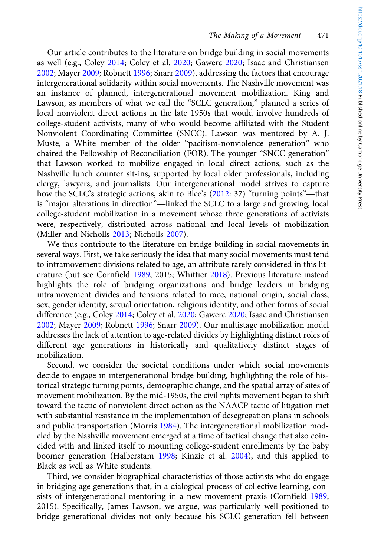Our article contributes to the literature on bridge building in social movements as well (e.g., Coley 2014; Coley et al. 2020; Gawerc 2020; Isaac and Christiansen 2002; Mayer 2009; Robnett 1996; Snarr 2009), addressing the factors that encourage intergenerational solidarity within social movements. The Nashville movement was an instance of planned, intergenerational movement mobilization. King and Lawson, as members of what we call the "SCLC generation," planned a series of local nonviolent direct actions in the late 1950s that would involve hundreds of college-student activists, many of who would become affiliated with the Student Nonviolent Coordinating Committee (SNCC). Lawson was mentored by A. J. Muste, a White member of the older "pacifism-nonviolence generation" who chaired the Fellowship of Reconciliation (FOR). The younger "SNCC generation" that Lawson worked to mobilize engaged in local direct actions, such as the Nashville lunch counter sit-ins, supported by local older professionals, including clergy, lawyers, and journalists. Our intergenerational model strives to capture chaired the Fellowship of Reconcluation (FOR). The younger SNCC generation<br>that Lawson worked to mobilize engaged in local direct actions, such as the<br>Nashville lunch counter sit-ins, supported by local older professionals how the SCLC's strategic actions, akin to Blee's (2012: 37) "turning points"—that is "major alterations in direction"—linked the SCLC to a large and growing, local college-student mobilization in a movement whose three generations of activists were, respectively, distributed across national and local levels of mobilization (Miller and Nicholls 2013; Nicholls 2007).

We thus contribute to the literature on bridge building in social movements in several ways. First, we take seriously the idea that many social movements must tend to intramovement divisions related to age, an attribute rarely considered in this literature (but see Cornfield 1989, 2015; Whittier 2018). Previous literature instead highlights the role of bridging organizations and bridge leaders in bridging intramovement divides and tensions related to race, national origin, social class, sex, gender identity, sexual orientation, religious identity, and other forms of social difference (e.g., Coley 2014; Coley et al. 2020; Gawerc 2020; Isaac and Christiansen 2002; Mayer 2009; Robnett 1996; Snarr 2009). Our multistage mobilization model addresses the lack of attention to age-related divides by highlighting distinct roles of different age generations in historically and qualitatively distinct stages of mobilization.

Second, we consider the societal conditions under which social movements decide to engage in intergenerational bridge building, highlighting the role of historical strategic turning points, demographic change, and the spatial array of sites of movement mobilization. By the mid-1950s, the civil rights movement began to shift toward the tactic of nonviolent direct action as the NAACP tactic of litigation met with substantial resistance in the implementation of desegregation plans in schools and public transportation (Morris 1984). The intergenerational mobilization modeled by the Nashville movement emerged at a time of tactical change that also coincided with and linked itself to mounting college-student enrollments by the baby boomer generation (Halberstam 1998; Kinzie et al. 2004), and this applied to Black as well as White students.

Third, we consider biographical characteristics of those activists who do engage in bridging age generations that, in a dialogical process of collective learning, consists of intergenerational mentoring in a new movement praxis (Cornfield 1989, 2015). Specifically, James Lawson, we argue, was particularly well-positioned to bridge generational divides not only because his SCLC generation fell between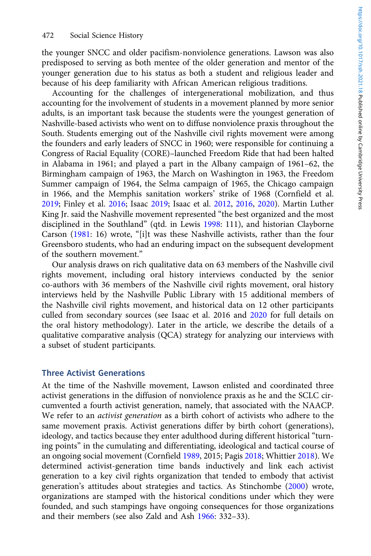the younger SNCC and older pacifism-nonviolence generations. Lawson was also predisposed to serving as both mentee of the older generation and mentor of the younger generation due to his status as both a student and religious leader and because of his deep familiarity with African American religious traditions.

Accounting for the challenges of intergenerational mobilization, and thus accounting for the involvement of students in a movement planned by more senior adults, is an important task because the students were the youngest generation of Nashville-based activists who went on to diffuse nonviolence praxis throughout the South. Students emerging out of the Nashville civil rights movement were among the founders and early leaders of SNCC in 1960; were responsible for continuing a Congress of Racial Equality (CORE)–launched Freedom Ride that had been halted in Alabama in 1961; and played a part in the Albany campaign of 1961–62, the Birmingham campaign of 1963, the March on Washington in 1963, the Freedom Summer campaign of 1964, the Selma campaign of 1965, the Chicago campaign in 1966, and the Memphis sanitation workers' strike of 1968 (Cornfield et al. 2019; Finley et al. 2016; Isaac 2019; Isaac et al. 2012, 2016, 2020). Martin Luther King Jr. said the Nashville movement represented "the best organized and the most disciplined in the Southland" (qtd. in Lewis 1998: 111), and historian Clayborne Carson (1981: 16) wrote, "[i]t was these Nashville activists, rather than the four Greensboro students, who had an enduring impact on the subsequent development of the southern movement."

Our analysis draws on rich qualitative data on 63 members of the Nashville civil rights movement, including oral history interviews conducted by the senior co-authors with 36 members of the Nashville civil rights movement, oral history interviews held by the Nashville Public Library with 15 additional members of the Nashville civil rights movement, and historical data on 12 other participants culled from secondary sources (see Isaac et al. 2016 and 2020 for full details on the oral history methodology). Later in the article, we describe the details of a qualitative comparative analysis (QCA) strategy for analyzing our interviews with a subset of student participants.

#### Three Activist Generations

At the time of the Nashville movement, Lawson enlisted and coordinated three activist generations in the diffusion of nonviolence praxis as he and the SCLC circumvented a fourth activist generation, namely, that associated with the NAACP. We refer to an *activist generation* as a birth cohort of activists who adhere to the same movement praxis. Activist generations differ by birth cohort (generations), ideology, and tactics because they enter adulthood during different historical "turning points" in the cumulating and differentiating, ideological and tactical course of an ongoing social movement (Cornfield 1989, 2015; Pagis 2018; Whittier 2018). We determined activist-generation time bands inductively and link each activist generation to a key civil rights organization that tended to embody that activist generation's attitudes about strategies and tactics. As Stinchombe (2000) wrote, organizations are stamped with the historical conditions under which they were founded, and such stampings have ongoing consequences for those organizations and their members (see also Zald and Ash 1966: 332–33).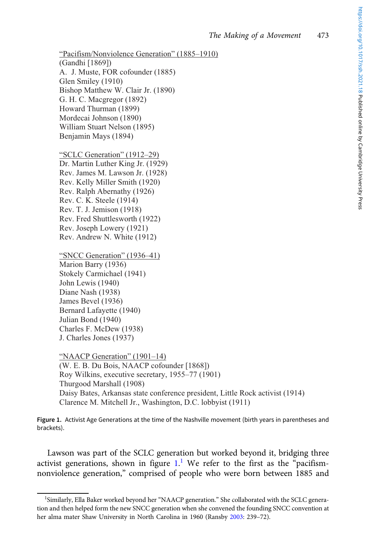```
"Pacifism/Nonviolence Generation" (1885–1910)
(Gandhi [1869]) 
A. J. Muste, FOR cofounder (1885) 
Glen Smiley (1910) 
Bishop Matthew W. Clair Jr. (1890) 
G. H. C. Macgregor (1892) 
Howard Thurman (1899) 
Mordecai Johnson (1890) 
William Stuart Nelson (1895) 
Benjamin Mays (1894) 
"SCLC Generation" (1912–29)
```
Dr. Martin Luther King Jr. (1929) Rev. James M. Lawson Jr. (1928) Rev. Kelly Miller Smith (1920) Rev. Ralph Abernathy (1926) Rev. C. K. Steele (1914) Rev. T. J. Jemison (1918) Rev. Fred Shuttlesworth (1922) Rev. Joseph Lowery (1921) Rev. Andrew N. White (1912)

```
"SNCC Generation" (1936–41)
```
Marion Barry (1936) Stokely Carmichael (1941) John Lewis (1940) Diane Nash (1938) James Bevel (1936) Bernard Lafayette (1940) Julian Bond (1940) Charles F. McDew (1938) J. Charles Jones (1937)

"NAACP Generation" (1901–14) (W. E. B. Du Bois, NAACP cofounder [1868]) Roy Wilkins, executive secretary, 1955–77 (1901) Thurgood Marshall (1908) Daisy Bates, Arkansas state conference president, Little Rock activist (1914) Clarence M. Mitchell Jr., Washington, D.C. lobbyist (1911)

Figure 1. Activist Age Generations at the time of the Nashville movement (birth years in parentheses and brackets).

Lawson was part of the SCLC generation but worked beyond it, bridging three activist generations, shown in figure  $1$ .<sup>1</sup> We refer to the first as the "pacifismnonviolence generation," comprised of people who were born between 1885 and

<sup>&</sup>lt;sup>1</sup>Similarly, Ella Baker worked beyond her "NAACP generation." She collaborated with the SCLC generation and then helped form the new SNCC generation when she convened the founding SNCC convention at her alma mater Shaw University in North Carolina in 1960 (Ransby 2003: 239–72).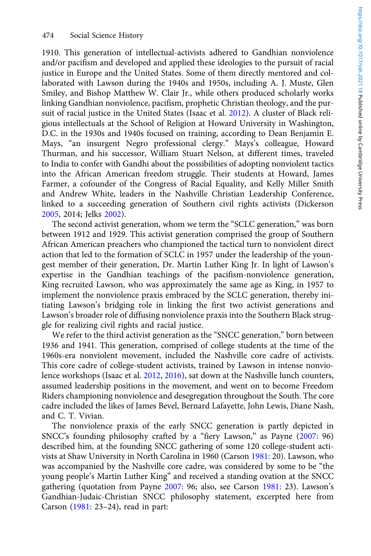1910. This generation of intellectual-activists adhered to Gandhian nonviolence and/or pacifism and developed and applied these ideologies to the pursuit of racial justice in Europe and the United States. Some of them directly mentored and collaborated with Lawson during the 1940s and 1950s, including A. J. Muste, Glen Smiley, and Bishop Matthew W. Clair Jr., while others produced scholarly works linking Gandhian nonviolence, pacifism, prophetic Christian theology, and the pursuit of racial justice in the United States (Isaac et al. 2012). A cluster of Black religious intellectuals at the School of Religion at Howard University in Washington, D.C. in the 1930s and 1940s focused on training, according to Dean Benjamin E. Mays, "an insurgent Negro professional clergy." Mays's colleague, Howard Thurman, and his successor, William Stuart Nelson, at different times, traveled to India to confer with Gandhi about the possibilities of adopting nonviolent tactics into the African American freedom struggle. Their students at Howard, James Farmer, a cofounder of the Congress of Racial Equality, and Kelly Miller Smith and Andrew White, leaders in the Nashville Christian Leadership Conference, linked to a succeeding generation of Southern civil rights activists (Dickerson 2005, 2014; Jelks 2002).

The second activist generation, whom we term the "SCLC generation," was born between 1912 and 1929. This activist generation comprised the group of Southern African American preachers who championed the tactical turn to nonviolent direct action that led to the formation of SCLC in 1957 under the leadership of the youngest member of their generation, Dr. Martin Luther King Jr. In light of Lawson's expertise in the Gandhian teachings of the pacifism-nonviolence generation, King recruited Lawson, who was approximately the same age as King, in 1957 to implement the nonviolence praxis embraced by the SCLC generation, thereby initiating Lawson's bridging role in linking the first two activist generations and Lawson's broader role of diffusing nonviolence praxis into the Southern Black struggle for realizing civil rights and racial justice.

We refer to the third activist generation as the "SNCC generation," born between 1936 and 1941. This generation, comprised of college students at the time of the 1960s-era nonviolent movement, included the Nashville core cadre of activists. This core cadre of college-student activists, trained by Lawson in intense nonviolence workshops (Isaac et al. 2012, 2016), sat down at the Nashville lunch counters, assumed leadership positions in the movement, and went on to become Freedom Riders championing nonviolence and desegregation throughout the South. The core cadre included the likes of James Bevel, Bernard Lafayette, John Lewis, Diane Nash, and C. T. Vivian.

The nonviolence praxis of the early SNCC generation is partly depicted in SNCC's founding philosophy crafted by a "fiery Lawson," as Payne (2007: 96) described him, at the founding SNCC gathering of some 120 college-student activists at Shaw University in North Carolina in 1960 (Carson 1981: 20). Lawson, who was accompanied by the Nashville core cadre, was considered by some to be "the young people's Martin Luther King" and received a standing ovation at the SNCC gathering (quotation from Payne 2007: 96; also, see Carson 1981: 23). Lawson's Gandhian-Judaic-Christian SNCC philosophy statement, excerpted here from Carson (1981: 23–24), read in part: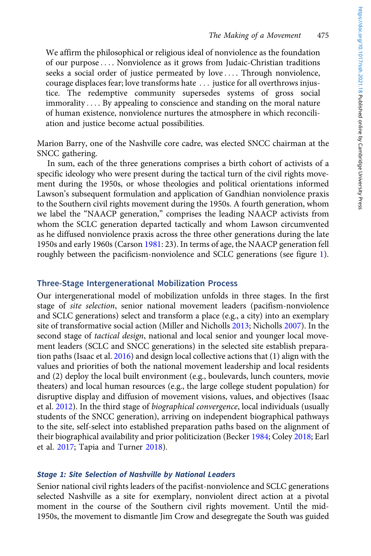We affirm the philosophical or religious ideal of nonviolence as the foundation of our purpose ::: . Nonviolence as it grows from Judaic-Christian traditions seeks a social order of justice permeated by love .... Through nonviolence, courage displaces fear; love transforms hate ... justice for all overthrows injustice. The redemptive community supersedes systems of gross social immorality .... By appealing to conscience and standing on the moral nature of human existence, nonviolence nurtures the atmosphere in which reconciliation and justice become actual possibilities.

Marion Barry, one of the Nashville core cadre, was elected SNCC chairman at the SNCC gathering.

In sum, each of the three generations comprises a birth cohort of activists of a specific ideology who were present during the tactical turn of the civil rights movement during the 1950s, or whose theologies and political orientations informed Lawson's subsequent formulation and application of Gandhian nonviolence praxis to the Southern civil rights movement during the 1950s. A fourth generation, whom we label the "NAACP generation," comprises the leading NAACP activists from whom the SCLC generation departed tactically and whom Lawson circumvented as he diffused nonviolence praxis across the three other generations during the late 1950s and early 1960s (Carson 1981: 23). In terms of age, the NAACP generation fell roughly between the pacificism-nonviolence and SCLC generations (see figure 1).

## Three-Stage Intergenerational Mobilization Process

Our intergenerational model of mobilization unfolds in three stages. In the first stage of site selection, senior national movement leaders (pacifism-nonviolence and SCLC generations) select and transform a place (e.g., a city) into an exemplary site of transformative social action (Miller and Nicholls 2013; Nicholls 2007). In the second stage of tactical design, national and local senior and younger local movement leaders (SCLC and SNCC generations) in the selected site establish preparation paths (Isaac et al. 2016) and design local collective actions that (1) align with the values and priorities of both the national movement leadership and local residents and (2) deploy the local built environment (e.g., boulevards, lunch counters, movie theaters) and local human resources (e.g., the large college student population) for disruptive display and diffusion of movement visions, values, and objectives (Isaac et al. 2012). In the third stage of *biographical convergence*, local individuals (usually students of the SNCC generation), arriving on independent biographical pathways to the site, self-select into established preparation paths based on the alignment of their biographical availability and prior politicization (Becker 1984; Coley 2018; Earl et al. 2017; Tapia and Turner 2018).

## Stage 1: Site Selection of Nashville by National Leaders

Senior national civil rights leaders of the pacifist-nonviolence and SCLC generations selected Nashville as a site for exemplary, nonviolent direct action at a pivotal moment in the course of the Southern civil rights movement. Until the mid-1950s, the movement to dismantle Jim Crow and desegregate the South was guided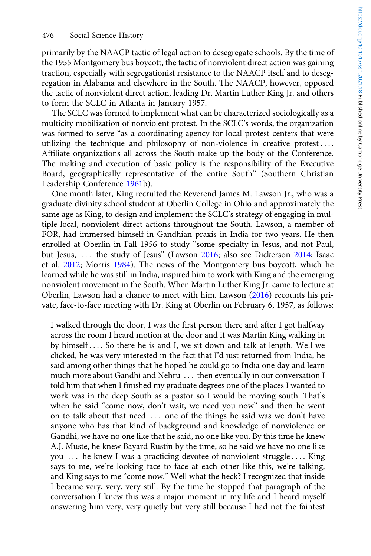primarily by the NAACP tactic of legal action to desegregate schools. By the time of the 1955 Montgomery bus boycott, the tactic of nonviolent direct action was gaining traction, especially with segregationist resistance to the NAACP itself and to desegregation in Alabama and elsewhere in the South. The NAACP, however, opposed the tactic of nonviolent direct action, leading Dr. Martin Luther King Jr. and others to form the SCLC in Atlanta in January 1957.

The SCLC was formed to implement what can be characterized sociologically as a multicity mobilization of nonviolent protest. In the SCLC's words, the organization was formed to serve "as a coordinating agency for local protest centers that were utilizing the technique and philosophy of non-violence in creative protest .... Affiliate organizations all across the South make up the body of the Conference. The making and execution of basic policy is the responsibility of the Executive Board, geographically representative of the entire South" (Southern Christian Leadership Conference 1961b).

One month later, King recruited the Reverend James M. Lawson Jr., who was a graduate divinity school student at Oberlin College in Ohio and approximately the same age as King, to design and implement the SCLC's strategy of engaging in multiple local, nonviolent direct actions throughout the South. Lawson, a member of FOR, had immersed himself in Gandhian praxis in India for two years. He then enrolled at Oberlin in Fall 1956 to study "some specialty in Jesus, and not Paul, but Jesus, ... the study of Jesus" (Lawson 2016; also see Dickerson 2014; Isaac et al. 2012; Morris 1984). The news of the Montgomery bus boycott, which he learned while he was still in India, inspired him to work with King and the emerging nonviolent movement in the South. When Martin Luther King Jr. came to lecture at Oberlin, Lawson had a chance to meet with him. Lawson (2016) recounts his private, face-to-face meeting with Dr. King at Oberlin on February 6, 1957, as follows:

I walked through the door, I was the first person there and after I got halfway across the room I heard motion at the door and it was Martin King walking in by himself.... So there he is and I, we sit down and talk at length. Well we clicked, he was very interested in the fact that I'd just returned from India, he said among other things that he hoped he could go to India one day and learn much more about Gandhi and Nehru ... then eventually in our conversation I told him that when I finished my graduate degrees one of the places I wanted to work was in the deep South as a pastor so I would be moving south. That's when he said "come now, don't wait, we need you now" and then he went on to talk about that need ... one of the things he said was we don't have anyone who has that kind of background and knowledge of nonviolence or Gandhi, we have no one like that he said, no one like you. By this time he knew A.J. Muste, he knew Bayard Rustin by the time, so he said we have no one like you ::: he knew I was a practicing devotee of nonviolent struggle ::: . King says to me, we're looking face to face at each other like this, we're talking, and King says to me "come now." Well what the heck? I recognized that inside I became very, very, very still. By the time he stopped that paragraph of the conversation I knew this was a major moment in my life and I heard myself answering him very, very quietly but very still because I had not the faintest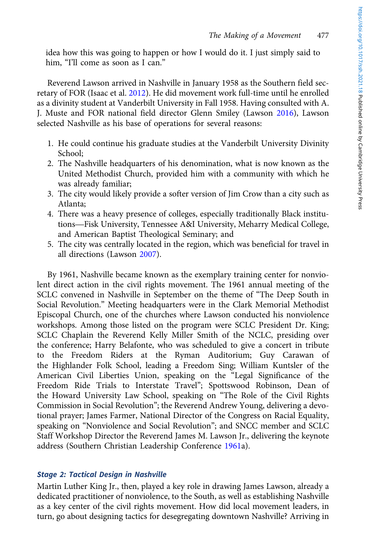idea how this was going to happen or how I would do it. I just simply said to him, "I'll come as soon as I can."

Reverend Lawson arrived in Nashville in January 1958 as the Southern field secretary of FOR (Isaac et al. 2012). He did movement work full-time until he enrolled as a divinity student at Vanderbilt University in Fall 1958. Having consulted with A. J. Muste and FOR national field director Glenn Smiley (Lawson 2016), Lawson selected Nashville as his base of operations for several reasons:

- 1. He could continue his graduate studies at the Vanderbilt University Divinity School;
- 2. The Nashville headquarters of his denomination, what is now known as the United Methodist Church, provided him with a community with which he was already familiar;
- 3. The city would likely provide a softer version of Jim Crow than a city such as Atlanta; was aiready raminar;<br>The city would likely provide a softer version of Jim Crow than a city such as<br>Atlanta;<br>There was a heavy presence of colleges, especially traditionally Black institu-<br>tions—Fisk University, Tennessee
- 4. There was a heavy presence of colleges, especially traditionally Black instituand American Baptist Theological Seminary; and
- 5. The city was centrally located in the region, which was beneficial for travel in all directions (Lawson 2007).

By 1961, Nashville became known as the exemplary training center for nonviolent direct action in the civil rights movement. The 1961 annual meeting of the SCLC convened in Nashville in September on the theme of "The Deep South in Social Revolution." Meeting headquarters were in the Clark Memorial Methodist Episcopal Church, one of the churches where Lawson conducted his nonviolence workshops. Among those listed on the program were SCLC President Dr. King; SCLC Chaplain the Reverend Kelly Miller Smith of the NCLC, presiding over the conference; Harry Belafonte, who was scheduled to give a concert in tribute to the Freedom Riders at the Ryman Auditorium; Guy Carawan of the Highlander Folk School, leading a Freedom Sing; William Kuntsler of the American Civil Liberties Union, speaking on the "Legal Significance of the Freedom Ride Trials to Interstate Travel"; Spottswood Robinson, Dean of the Howard University Law School, speaking on "The Role of the Civil Rights Commission in Social Revolution"; the Reverend Andrew Young, delivering a devotional prayer; James Farmer, National Director of the Congress on Racial Equality, speaking on "Nonviolence and Social Revolution"; and SNCC member and SCLC Staff Workshop Director the Reverend James M. Lawson Jr., delivering the keynote address (Southern Christian Leadership Conference 1961a).

## Stage 2: Tactical Design in Nashville

Martin Luther King Jr., then, played a key role in drawing James Lawson, already a dedicated practitioner of nonviolence, to the South, as well as establishing Nashville as a key center of the civil rights movement. How did local movement leaders, in turn, go about designing tactics for desegregating downtown Nashville? Arriving in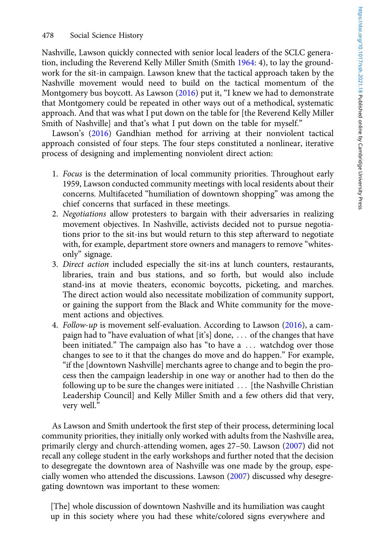Nashville, Lawson quickly connected with senior local leaders of the SCLC generation, including the Reverend Kelly Miller Smith (Smith 1964: 4), to lay the groundwork for the sit-in campaign. Lawson knew that the tactical approach taken by the Nashville movement would need to build on the tactical momentum of the Montgomery bus boycott. As Lawson (2016) put it, "I knew we had to demonstrate that Montgomery could be repeated in other ways out of a methodical, systematic approach. And that was what I put down on the table for [the Reverend Kelly Miller Smith of Nashville] and that's what I put down on the table for myself."

Lawson's (2016) Gandhian method for arriving at their nonviolent tactical approach consisted of four steps. The four steps constituted a nonlinear, iterative process of designing and implementing nonviolent direct action:

- 1. Focus is the determination of local community priorities. Throughout early 1959, Lawson conducted community meetings with local residents about their concerns. Multifaceted "humiliation of downtown shopping" was among the chief concerns that surfaced in these meetings.
- 2. Negotiations allow protesters to bargain with their adversaries in realizing movement objectives. In Nashville, activists decided not to pursue negotiations prior to the sit-ins but would return to this step afterward to negotiate with, for example, department store owners and managers to remove "whitesonly" signage.
- 3. Direct action included especially the sit-ins at lunch counters, restaurants, libraries, train and bus stations, and so forth, but would also include stand-ins at movie theaters, economic boycotts, picketing, and marches. The direct action would also necessitate mobilization of community support, or gaining the support from the Black and White community for the movement actions and objectives.
- 4. Follow-up is movement self-evaluation. According to Lawson (2016), a campaign had to "have evaluation of what [it's] done,  $\ldots$  of the changes that have been initiated." The campaign also has "to have a ... watchdog over those changes to see to it that the changes do move and do happen." For example, "if the [downtown Nashville] merchants agree to change and to begin the process then the campaign leadership in one way or another had to then do the following up to be sure the changes were initiated ... [the Nashville Christian Leadership Council] and Kelly Miller Smith and a few others did that very, very well."

As Lawson and Smith undertook the first step of their process, determining local community priorities, they initially only worked with adults from the Nashville area, primarily clergy and church-attending women, ages 27–50. Lawson (2007) did not recall any college student in the early workshops and further noted that the decision to desegregate the downtown area of Nashville was one made by the group, especially women who attended the discussions. Lawson (2007) discussed why desegregating downtown was important to these women:

[The] whole discussion of downtown Nashville and its humiliation was caught up in this society where you had these white/colored signs everywhere and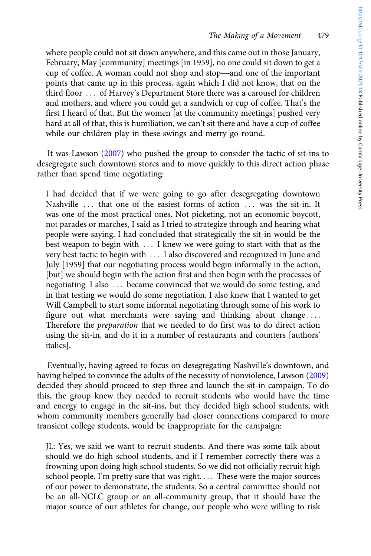where people could not sit down anywhere, and this came out in those January, February, May [community] meetings [in 1959], no one could sit down to get a The Making of a Movement<br>where people could not sit down anywhere, and this came out in those January,<br>February, May [community] meetings [in 1959], no one could sit down to get a<br>cup of coffee. A woman could not shop and points that came up in this process, again which I did not know, that on the third floor ::: of Harvey's Department Store there was a carousel for children and mothers, and where you could get a sandwich or cup of coffee. That's the first I heard of that. But the women [at the community meetings] pushed very hard at all of that, this is humiliation, we can't sit there and have a cup of coffee while our children play in these swings and merry-go-round.

It was Lawson (2007) who pushed the group to consider the tactic of sit-ins to desegregate such downtown stores and to move quickly to this direct action phase rather than spend time negotiating:

I had decided that if we were going to go after desegregating downtown Nashville ... that one of the easiest forms of action ... was the sit-in. It was one of the most practical ones. Not picketing, not an economic boycott, not parades or marches, I said as I tried to strategize through and hearing what people were saying. I had concluded that strategically the sit-in would be the best weapon to begin with ... I knew we were going to start with that as the very best tactic to begin with ::: I also discovered and recognized in June and July [1959] that our negotiating process would begin informally in the action, [but] we should begin with the action first and then begin with the processes of negotiating. I also ... became convinced that we would do some testing, and in that testing we would do some negotiation. I also knew that I wanted to get Will Campbell to start some informal negotiating through some of his work to figure out what merchants were saying and thinking about change.... Therefore the preparation that we needed to do first was to do direct action using the sit-in, and do it in a number of restaurants and counters [authors' italics].

Eventually, having agreed to focus on desegregating Nashville's downtown, and having helped to convince the adults of the necessity of nonviolence, Lawson (2009) decided they should proceed to step three and launch the sit-in campaign. To do this, the group knew they needed to recruit students who would have the time and energy to engage in the sit-ins, but they decided high school students, with whom community members generally had closer connections compared to more transient college students, would be inappropriate for the campaign:

JL: Yes, we said we want to recruit students. And there was some talk about should we do high school students, and if I remember correctly there was a frowning upon doing high school students. So we did not officially recruit high school people. I'm pretty sure that was right.... These were the major sources of our power to demonstrate, the students. So a central committee should not be an all-NCLC group or an all-community group, that it should have the major source of our athletes for change, our people who were willing to risk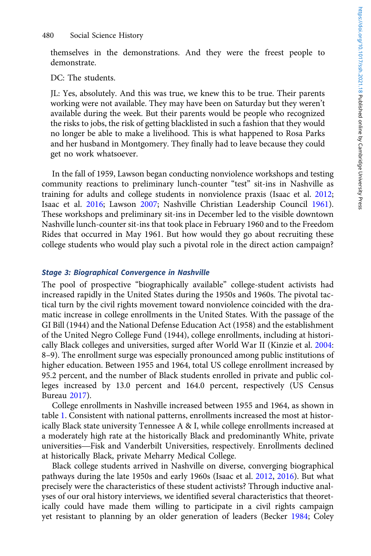themselves in the demonstrations. And they were the freest people to demonstrate.

#### DC: The students.

JL: Yes, absolutely. And this was true, we knew this to be true. Their parents working were not available. They may have been on Saturday but they weren't available during the week. But their parents would be people who recognized the risks to jobs, the risk of getting blacklisted in such a fashion that they would no longer be able to make a livelihood. This is what happened to Rosa Parks and her husband in Montgomery. They finally had to leave because they could get no work whatsoever.

In the fall of 1959, Lawson began conducting nonviolence workshops and testing community reactions to preliminary lunch-counter "test" sit-ins in Nashville as training for adults and college students in nonviolence praxis (Isaac et al. 2012; Isaac et al. 2016; Lawson 2007; Nashville Christian Leadership Council 1961). These workshops and preliminary sit-ins in December led to the visible downtown Nashville lunch-counter sit-ins that took place in February 1960 and to the Freedom Rides that occurred in May 1961. But how would they go about recruiting these college students who would play such a pivotal role in the direct action campaign?

#### Stage 3: Biographical Convergence in Nashville

The pool of prospective "biographically available" college-student activists had increased rapidly in the United States during the 1950s and 1960s. The pivotal tactical turn by the civil rights movement toward nonviolence coincided with the dramatic increase in college enrollments in the United States. With the passage of the GI Bill (1944) and the National Defense Education Act (1958) and the establishment of the United Negro College Fund (1944), college enrollments, including at historically Black colleges and universities, surged after World War II (Kinzie et al. 2004: 8–9). The enrollment surge was especially pronounced among public institutions of higher education. Between 1955 and 1964, total US college enrollment increased by 95.2 percent, and the number of Black students enrolled in private and public colleges increased by 13.0 percent and 164.0 percent, respectively (US Census Bureau 2017).

College enrollments in Nashville increased between 1955 and 1964, as shown in table 1. Consistent with national patterns, enrollments increased the most at historically Black state university Tennessee A & I, while college enrollments increased at a moderately high rate at the historically Black and predominantly White, private College enrollments in Nashville increased between 1955 and 1964, as shown in<br>table 1. Consistent with national patterns, enrollments increased the most at histor-<br>ically Black state university Tennessee A & I, while colle at historically Black, private Meharry Medical College.

Black college students arrived in Nashville on diverse, converging biographical pathways during the late 1950s and early 1960s (Isaac et al. 2012, 2016). But what precisely were the characteristics of these student activists? Through inductive analyses of our oral history interviews, we identified several characteristics that theoretically could have made them willing to participate in a civil rights campaign yet resistant to planning by an older generation of leaders (Becker 1984; Coley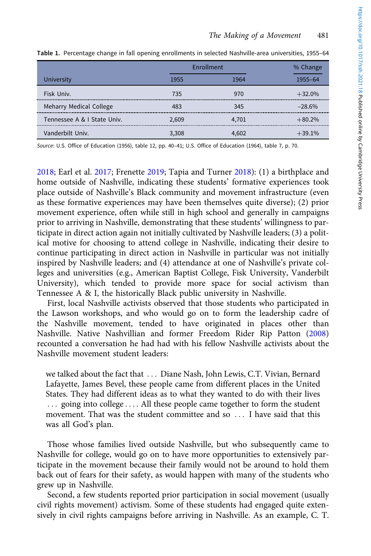|                             | Enrollment |       | % Change |
|-----------------------------|------------|-------|----------|
| <b>University</b>           | 1955       | 964   | 1955-64  |
| Fisk Univ.                  | 735        | 970   | $+32.0%$ |
| Meharry Medical College     | 483        | 345   | $-28.6%$ |
| Tennessee A & I State Univ. | 2.609      | 4.701 | $+80.2%$ |
| Vanderbilt Univ.            | 3,308      | 4.602 | $+39.1%$ |

Table 1. Percentage change in fall opening enrollments in selected Nashville-area universities, 1955–64

Source: U.S. Office of Education (1956), table 12, pp. 40–41; U.S. Office of Education (1964), table 7, p. 70.

2018; Earl et al. 2017; Frenette 2019; Tapia and Turner 2018): (1) a birthplace and home outside of Nashville, indicating these students' formative experiences took place outside of Nashville's Black community and movement infrastructure (even as these formative experiences may have been themselves quite diverse); (2) prior movement experience, often while still in high school and generally in campaigns prior to arriving in Nashville, demonstrating that these students' willingness to participate in direct action again not initially cultivated by Nashville leaders; (3) a political motive for choosing to attend college in Nashville, indicating their desire to continue participating in direct action in Nashville in particular was not initially inspired by Nashville leaders; and (4) attendance at one of Nashville's private colleges and universities (e.g., American Baptist College, Fisk University, Vanderbilt University), which tended to provide more space for social activism than Tennessee A & I, the historically Black public university in Nashville.

First, local Nashville activists observed that those students who participated in the Lawson workshops, and who would go on to form the leadership cadre of the Nashville movement, tended to have originated in places other than Nashville. Native Nashvillian and former Freedom Rider Rip Patton (2008) recounted a conversation he had had with his fellow Nashville activists about the Nashville movement student leaders:

we talked about the fact that ... Diane Nash, John Lewis, C.T. Vivian, Bernard Lafayette, James Bevel, these people came from different places in the United States. They had different ideas as to what they wanted to do with their lives ... going into college .... All these people came together to form the student movement. That was the student committee and so ... I have said that this was all God's plan.

Those whose families lived outside Nashville, but who subsequently came to Nashville for college, would go on to have more opportunities to extensively participate in the movement because their family would not be around to hold them back out of fears for their safety, as would happen with many of the students who grew up in Nashville.

Second, a few students reported prior participation in social movement (usually civil rights movement) activism. Some of these students had engaged quite extensively in civil rights campaigns before arriving in Nashville. As an example, C. T.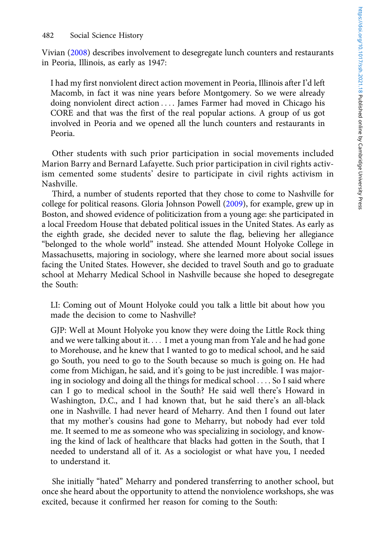Vivian (2008) describes involvement to desegregate lunch counters and restaurants in Peoria, Illinois, as early as 1947:

I had my first nonviolent direct action movement in Peoria, Illinois after I'd left Macomb, in fact it was nine years before Montgomery. So we were already doing nonviolent direct action .... James Farmer had moved in Chicago his CORE and that was the first of the real popular actions. A group of us got involved in Peoria and we opened all the lunch counters and restaurants in Peoria.

Other students with such prior participation in social movements included Marion Barry and Bernard Lafayette. Such prior participation in civil rights activism cemented some students' desire to participate in civil rights activism in Nashville.

Third, a number of students reported that they chose to come to Nashville for college for political reasons. Gloria Johnson Powell (2009), for example, grew up in Boston, and showed evidence of politicization from a young age: she participated in a local Freedom House that debated political issues in the United States. As early as the eighth grade, she decided never to salute the flag, believing her allegiance "belonged to the whole world" instead. She attended Mount Holyoke College in Massachusetts, majoring in sociology, where she learned more about social issues facing the United States. However, she decided to travel South and go to graduate school at Meharry Medical School in Nashville because she hoped to desegregate the South:

LI: Coming out of Mount Holyoke could you talk a little bit about how you made the decision to come to Nashville?

GJP: Well at Mount Holyoke you know they were doing the Little Rock thing and we were talking about it.... I met a young man from Yale and he had gone to Morehouse, and he knew that I wanted to go to medical school, and he said go South, you need to go to the South because so much is going on. He had come from Michigan, he said, and it's going to be just incredible. I was majoring in sociology and doing all the things for medical school . . . . So I said where can I go to medical school in the South? He said well there's Howard in Washington, D.C., and I had known that, but he said there's an all-black one in Nashville. I had never heard of Meharry. And then I found out later that my mother's cousins had gone to Meharry, but nobody had ever told me. It seemed to me as someone who was specializing in sociology, and knowing the kind of lack of healthcare that blacks had gotten in the South, that I needed to understand all of it. As a sociologist or what have you, I needed to understand it.

She initially "hated" Meharry and pondered transferring to another school, but once she heard about the opportunity to attend the nonviolence workshops, she was excited, because it confirmed her reason for coming to the South: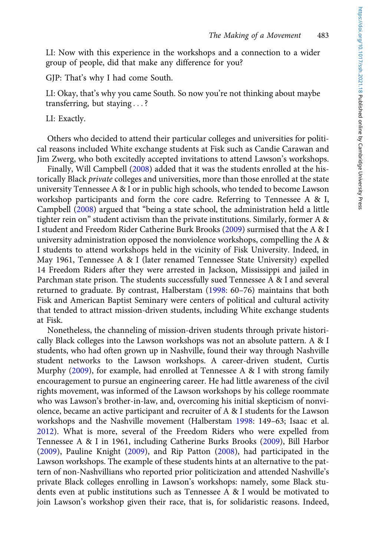LI: Now with this experience in the workshops and a connection to a wider group of people, did that make any difference for you?

GJP: That's why I had come South.

LI: Okay, that's why you came South. So now you're not thinking about maybe transferring, but staying ...?

LI: Exactly.

Others who decided to attend their particular colleges and universities for political reasons included White exchange students at Fisk such as Candie Carawan and Jim Zwerg, who both excitedly accepted invitations to attend Lawson's workshops.

Finally, Will Campbell (2008) added that it was the students enrolled at the historically Black *private* colleges and universities, more than those enrolled at the state university Tennessee A & I or in public high schools, who tended to become Lawson workshop participants and form the core cadre. Referring to Tennessee A & I, Campbell (2008) argued that "being a state school, the administration held a little tighter rein on" student activism than the private institutions. Similarly, former A & I student and Freedom Rider Catherine Burk Brooks (2009) surmised that the A & I university administration opposed the nonviolence workshops, compelling the A & I students to attend workshops held in the vicinity of Fisk University. Indeed, in May 1961, Tennessee A & I (later renamed Tennessee State University) expelled 14 Freedom Riders after they were arrested in Jackson, Mississippi and jailed in Parchman state prison. The students successfully sued Tennessee A & I and several returned to graduate. By contrast, Halberstam (1998: 60–76) maintains that both Fisk and American Baptist Seminary were centers of political and cultural activity that tended to attract mission-driven students, including White exchange students at Fisk.

Nonetheless, the channeling of mission-driven students through private historically Black colleges into the Lawson workshops was not an absolute pattern. A & I students, who had often grown up in Nashville, found their way through Nashville student networks to the Lawson workshops. A career-driven student, Curtis Murphy (2009), for example, had enrolled at Tennessee A & I with strong family encouragement to pursue an engineering career. He had little awareness of the civil rights movement, was informed of the Lawson workshops by his college roommate who was Lawson's brother-in-law, and, overcoming his initial skepticism of nonviolence, became an active participant and recruiter of A & I students for the Lawson workshops and the Nashville movement (Halberstam 1998: 149–63; Isaac et al. 2012). What is more, several of the Freedom Riders who were expelled from Tennessee A & I in 1961, including Catherine Burks Brooks (2009), Bill Harbor (2009), Pauline Knight (2009), and Rip Patton (2008), had participated in the Lawson workshops. The example of these students hints at an alternative to the pattern of non-Nashvillians who reported prior politicization and attended Nashville's private Black colleges enrolling in Lawson's workshops: namely, some Black students even at public institutions such as Tennessee A & I would be motivated to join Lawson's workshop given their race, that is, for solidaristic reasons. Indeed,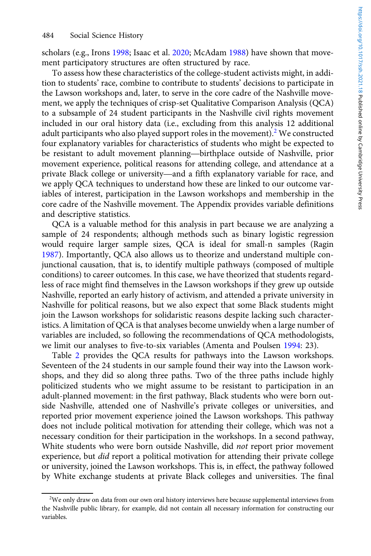scholars (e.g., Irons 1998; Isaac et al. 2020; McAdam 1988) have shown that movement participatory structures are often structured by race.

To assess how these characteristics of the college-student activists might, in addition to students' race, combine to contribute to students' decisions to participate in the Lawson workshops and, later, to serve in the core cadre of the Nashville movement, we apply the techniques of crisp-set Qualitative Comparison Analysis (QCA) to a subsample of 24 student participants in the Nashville civil rights movement included in our oral history data (i.e., excluding from this analysis 12 additional adult participants who also played support roles in the movement).<sup>2</sup> We constructed four explanatory variables for characteristics of students who might be expected to to a subsample or 24 student participants in the Nashville civil rights movement<br>included in our oral history data (i.e., excluding from this analysis 12 additional<br>adult participants who also played support roles in the m movement experience, political reasons for attending college, and attendance at a be resistant to adult movement planning—birthplace outside of Nashville, prior movement experience, political reasons for attending college, and attendance at a private Black college or university—and a fifth explanatory v we apply QCA techniques to understand how these are linked to our outcome variables of interest, participation in the Lawson workshops and membership in the core cadre of the Nashville movement. The Appendix provides variable definitions and descriptive statistics.

QCA is a valuable method for this analysis in part because we are analyzing a sample of 24 respondents; although methods such as binary logistic regression would require larger sample sizes, QCA is ideal for small-n samples (Ragin 1987). Importantly, QCA also allows us to theorize and understand multiple conjunctional causation, that is, to identify multiple pathways (composed of multiple conditions) to career outcomes. In this case, we have theorized that students regardless of race might find themselves in the Lawson workshops if they grew up outside Nashville, reported an early history of activism, and attended a private university in Nashville for political reasons, but we also expect that some Black students might join the Lawson workshops for solidaristic reasons despite lacking such characteristics. A limitation of QCA is that analyses become unwieldy when a large number of variables are included, so following the recommendations of QCA methodologists, we limit our analyses to five-to-six variables (Amenta and Poulsen 1994: 23).

Table 2 provides the QCA results for pathways into the Lawson workshops. Seventeen of the 24 students in our sample found their way into the Lawson workshops, and they did so along three paths. Two of the three paths include highly politicized students who we might assume to be resistant to participation in an adult-planned movement: in the first pathway, Black students who were born outside Nashville, attended one of Nashville's private colleges or universities, and reported prior movement experience joined the Lawson workshops. This pathway does not include political motivation for attending their college, which was not a necessary condition for their participation in the workshops. In a second pathway, White students who were born outside Nashville, did not report prior movement experience, but *did* report a political motivation for attending their private college or university, joined the Lawson workshops. This is, in effect, the pathway followed by White exchange students at private Black colleges and universities. The final

<sup>&</sup>lt;sup>2</sup>We only draw on data from our own oral history interviews here because supplemental interviews from the Nashville public library, for example, did not contain all necessary information for constructing our variables.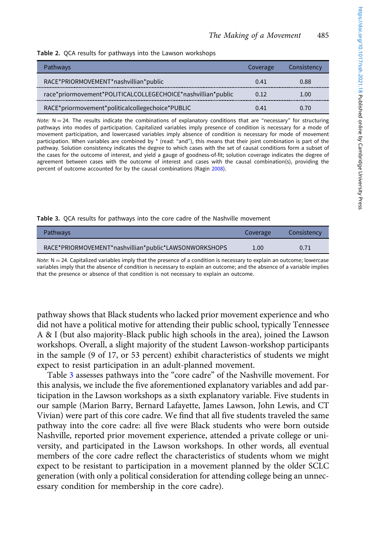|  | Table 2. QCA results for pathways into the Lawson workshops |  |
|--|-------------------------------------------------------------|--|
|  |                                                             |  |

| <b>Pathways</b>                                              | Coverage | Consistency |
|--------------------------------------------------------------|----------|-------------|
| RACE*PRIORMOVEMENT*nashvillian*public                        | 0.41     | 0.88        |
| race*priormovement*POLITICALCOLLEGECHOICE*nashvillian*public | 0.12     | 1.00        |
| RACE*priormovement*politicalcollegechoice*PUBLIC             | N 41     | ሰ 70        |

Note:  $N = 24$ . The results indicate the combinations of explanatory conditions that are "necessary" for structuring pathways into modes of participation. Capitalized variables imply presence of condition is necessary for a mode of movement participation, and lowercased variables imply absence of condition is necessary for mode of movement participation. When variables are combined by \* (read: "and"), this means that their joint combination is part of the pathway. Solution consistency indicates the degree to which cases with the set of causal conditions form a subset of the cases for the outcome of interest, and yield a gauge of goodness-of-fit; solution coverage indicates the degree of agreement between cases with the outcome of interest and cases with the causal combination(s), providing the percent of outcome accounted for by the causal combinations (Ragin 2008).

Table 3. QCA results for pathways into the core cadre of the Nashville movement

| <b>Pathways</b>                                       | Coverage | Consistency |
|-------------------------------------------------------|----------|-------------|
| RACE*PRIORMOVEMENT*nashvillian*public*LAWSONWORKSHOPS | 1.00     | 0.71        |

Note:  $N = 24$ . Capitalized variables imply that the presence of a condition is necessary to explain an outcome; lowercase variables imply that the absence of condition is necessary to explain an outcome; and the absence of a variable implies that the presence or absence of that condition is not necessary to explain an outcome.

pathway shows that Black students who lacked prior movement experience and who did not have a political motive for attending their public school, typically Tennessee A & I (but also majority-Black public high schools in the area), joined the Lawson workshops. Overall, a slight majority of the student Lawson-workshop participants in the sample (9 of 17, or 53 percent) exhibit characteristics of students we might expect to resist participation in an adult-planned movement.

Table 3 assesses pathways into the "core cadre" of the Nashville movement. For this analysis, we include the five aforementioned explanatory variables and add participation in the Lawson workshops as a sixth explanatory variable. Five students in our sample (Marion Barry, Bernard Lafayette, James Lawson, John Lewis, and CT Vivian) were part of this core cadre. We find that all five students traveled the same pathway into the core cadre: all five were Black students who were born outside Nashville, reported prior movement experience, attended a private college or university, and participated in the Lawson workshops. In other words, all eventual members of the core cadre reflect the characteristics of students whom we might expect to be resistant to participation in a movement planned by the older SCLC generation (with only a political consideration for attending college being an unnecessary condition for membership in the core cadre).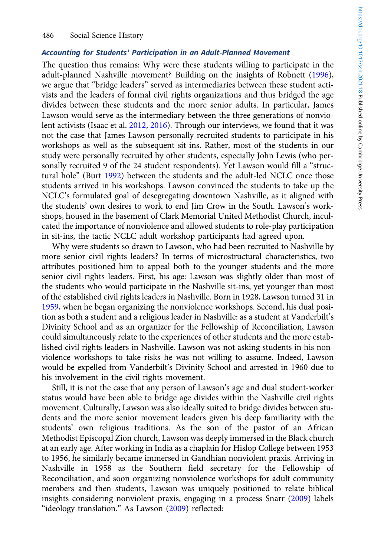#### Accounting for Students' Participation in an Adult-Planned Movement

The question thus remains: Why were these students willing to participate in the adult-planned Nashville movement? Building on the insights of Robnett (1996), we argue that "bridge leaders" served as intermediaries between these student activists and the leaders of formal civil rights organizations and thus bridged the age divides between these students and the more senior adults. In particular, James Lawson would serve as the intermediary between the three generations of nonviolent activists (Isaac et al. 2012, 2016). Through our interviews, we found that it was not the case that James Lawson personally recruited students to participate in his workshops as well as the subsequent sit-ins. Rather, most of the students in our study were personally recruited by other students, especially John Lewis (who personally recruited 9 of the 24 student respondents). Yet Lawson would fill a "structural hole" (Burt 1992) between the students and the adult-led NCLC once those students arrived in his workshops. Lawson convinced the students to take up the NCLC's formulated goal of desegregating downtown Nashville, as it aligned with the students' own desires to work to end Jim Crow in the South. Lawson's workshops, housed in the basement of Clark Memorial United Methodist Church, inculcated the importance of nonviolence and allowed students to role-play participation in sit-ins, the tactic NCLC adult workshop participants had agreed upon.

Why were students so drawn to Lawson, who had been recruited to Nashville by more senior civil rights leaders? In terms of microstructural characteristics, two attributes positioned him to appeal both to the younger students and the more senior civil rights leaders. First, his age: Lawson was slightly older than most of the students who would participate in the Nashville sit-ins, yet younger than most of the established civil rights leaders in Nashville. Born in 1928, Lawson turned 31 in 1959, when he began organizing the nonviolence workshops. Second, his dual position as both a student and a religious leader in Nashville: as a student at Vanderbilt's Divinity School and as an organizer for the Fellowship of Reconciliation, Lawson could simultaneously relate to the experiences of other students and the more established civil rights leaders in Nashville. Lawson was not asking students in his nonviolence workshops to take risks he was not willing to assume. Indeed, Lawson would be expelled from Vanderbilt's Divinity School and arrested in 1960 due to his involvement in the civil rights movement.

Still, it is not the case that any person of Lawson's age and dual student-worker status would have been able to bridge age divides within the Nashville civil rights movement. Culturally, Lawson was also ideally suited to bridge divides between students and the more senior movement leaders given his deep familiarity with the students' own religious traditions. As the son of the pastor of an African Methodist Episcopal Zion church, Lawson was deeply immersed in the Black church at an early age. After working in India as a chaplain for Hislop College between 1953 to 1956, he similarly became immersed in Gandhian nonviolent praxis. Arriving in Nashville in 1958 as the Southern field secretary for the Fellowship of Reconciliation, and soon organizing nonviolence workshops for adult community members and then students, Lawson was uniquely positioned to relate biblical insights considering nonviolent praxis, engaging in a process Snarr (2009) labels "ideology translation." As Lawson (2009) reflected: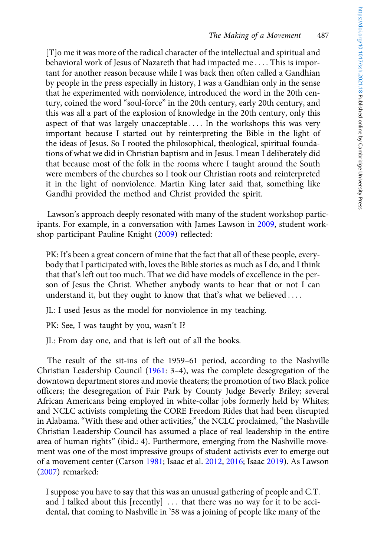[T]o me it was more of the radical character of the intellectual and spiritual and behavioral work of Jesus of Nazareth that had impacted me .... This is important for another reason because while I was back then often called a Gandhian by people in the press especially in history, I was a Gandhian only in the sense that he experimented with nonviolence, introduced the word in the 20th century, coined the word "soul-force" in the 20th century, early 20th century, and this was all a part of the explosion of knowledge in the 20th century, only this aspect of that was largely unacceptable .... In the workshops this was very important because I started out by reinterpreting the Bible in the light of the ideas of Jesus. So I rooted the philosophical, theological, spiritual foundations of what we did in Christian baptism and in Jesus. I mean I deliberately did that because most of the folk in the rooms where I taught around the South were members of the churches so I took our Christian roots and reinterpreted it in the light of nonviolence. Martin King later said that, something like Gandhi provided the method and Christ provided the spirit.

Lawson's approach deeply resonated with many of the student workshop participants. For example, in a conversation with James Lawson in 2009, student workshop participant Pauline Knight (2009) reflected:

PK: It's been a great concern of mine that the fact that all of these people, everybody that I participated with, loves the Bible stories as much as I do, and I think that that's left out too much. That we did have models of excellence in the person of Jesus the Christ. Whether anybody wants to hear that or not I can understand it, but they ought to know that that's what we believed ....

JL: I used Jesus as the model for nonviolence in my teaching.

PK: See, I was taught by you, wasn't I?

JL: From day one, and that is left out of all the books.

The result of the sit-ins of the 1959–61 period, according to the Nashville Christian Leadership Council (1961: 3–4), was the complete desegregation of the downtown department stores and movie theaters; the promotion of two Black police officers; the desegregation of Fair Park by County Judge Beverly Briley; several African Americans being employed in white-collar jobs formerly held by Whites; and NCLC activists completing the CORE Freedom Rides that had been disrupted in Alabama. "With these and other activities," the NCLC proclaimed, "the Nashville Christian Leadership Council has assumed a place of real leadership in the entire area of human rights" (ibid.: 4). Furthermore, emerging from the Nashville movement was one of the most impressive groups of student activists ever to emerge out of a movement center (Carson 1981; Isaac et al. 2012, 2016; Isaac 2019). As Lawson (2007) remarked:

I suppose you have to say that this was an unusual gathering of people and C.T. and I talked about this  $[recently] ...$  that there was no way for it to be accidental, that coming to Nashville in '58 was a joining of people like many of the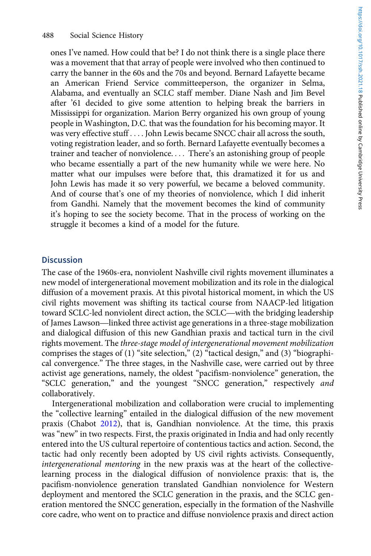ones I've named. How could that be? I do not think there is a single place there was a movement that that array of people were involved who then continued to carry the banner in the 60s and the 70s and beyond. Bernard Lafayette became an American Friend Service committeeperson, the organizer in Selma, Alabama, and eventually an SCLC staff member. Diane Nash and Jim Bevel after '61 decided to give some attention to helping break the barriers in Mississippi for organization. Marion Berry organized his own group of young people in Washington, D.C. that was the foundation for his becoming mayor. It was very effective stuff . . . . John Lewis became SNCC chair all across the south, voting registration leader, and so forth. Bernard Lafayette eventually becomes a trainer and teacher of nonviolence. ::: There's an astonishing group of people who became essentially a part of the new humanity while we were here. No matter what our impulses were before that, this dramatized it for us and John Lewis has made it so very powerful, we became a beloved community. And of course that's one of my theories of nonviolence, which I did inherit from Gandhi. Namely that the movement becomes the kind of community it's hoping to see the society become. That in the process of working on the struggle it becomes a kind of a model for the future.

#### **Discussion**

The case of the 1960s-era, nonviolent Nashville civil rights movement illuminates a new model of intergenerational movement mobilization and its role in the dialogical diffusion of a movement praxis. At this pivotal historical moment, in which the US civil rights movement was shifting its tactical course from NAACP-led litigation The case of the 1960s-era, nonviolent Nashville civil rights movement illuminates a<br>new model of intergenerational movement mobilization and its role in the dialogical<br>diffusion of a movement praxis. At this pivotal histor new model of intergenerational movement mobilization and its role in the dialogical<br>diffusion of a movement praxis. At this pivotal historical moment, in which the US<br>civil rights movement was shifting its tactical course and dialogical diffusion of this new Gandhian praxis and tactical turn in the civil rights movement. The three-stage model of intergenerational movement mobilization comprises the stages of (1) "site selection," (2) "tactical design," and (3) "biographical convergence." The three stages, in the Nashville case, were carried out by three activist age generations, namely, the oldest "pacifism-nonviolence" generation, the "SCLC generation," and the youngest "SNCC generation," respectively and collaboratively.

Intergenerational mobilization and collaboration were crucial to implementing the "collective learning" entailed in the dialogical diffusion of the new movement praxis (Chabot 2012), that is, Gandhian nonviolence. At the time, this praxis was "new" in two respects. First, the praxis originated in India and had only recently entered into the US cultural repertoire of contentious tactics and action. Second, the tactic had only recently been adopted by US civil rights activists. Consequently, intergenerational mentoring in the new praxis was at the heart of the collectivelearning process in the dialogical diffusion of nonviolence praxis: that is, the pacifism-nonviolence generation translated Gandhian nonviolence for Western deployment and mentored the SCLC generation in the praxis, and the SCLC generation mentored the SNCC generation, especially in the formation of the Nashville core cadre, who went on to practice and diffuse nonviolence praxis and direct action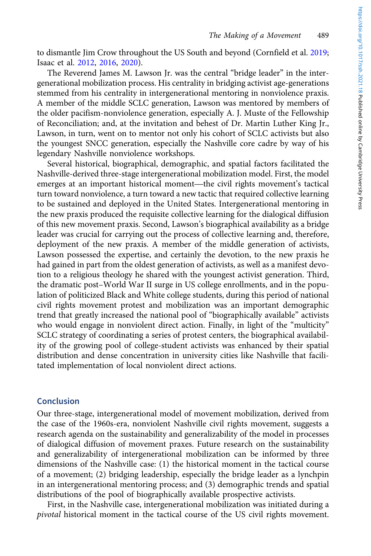to dismantle Jim Crow throughout the US South and beyond (Cornfield et al. 2019; Isaac et al. 2012, 2016, 2020).

The Reverend James M. Lawson Jr. was the central "bridge leader" in the intergenerational mobilization process. His centrality in bridging activist age-generations stemmed from his centrality in intergenerational mentoring in nonviolence praxis. A member of the middle SCLC generation, Lawson was mentored by members of the older pacifism-nonviolence generation, especially A. J. Muste of the Fellowship of Reconciliation; and, at the invitation and behest of Dr. Martin Luther King Jr., Lawson, in turn, went on to mentor not only his cohort of SCLC activists but also the youngest SNCC generation, especially the Nashville core cadre by way of his legendary Nashville nonviolence workshops.

Several historical, biographical, demographic, and spatial factors facilitated the Nashville-derived three-stage intergenerational mobilization model. First, the model the youngest SNCC generation, especially the Nashville core cadre by way or his<br>legendary Nashville nonviolence workshops.<br>Several historical, biographical, demographic, and spatial factors facilitated the<br>Nashville-derive turn toward nonviolence, a turn toward a new tactic that required collective learning to be sustained and deployed in the United States. Intergenerational mentoring in the new praxis produced the requisite collective learning for the dialogical diffusion of this new movement praxis. Second, Lawson's biographical availability as a bridge leader was crucial for carrying out the process of collective learning and, therefore, deployment of the new praxis. A member of the middle generation of activists, Lawson possessed the expertise, and certainly the devotion, to the new praxis he had gained in part from the oldest generation of activists, as well as a manifest devotion to a religious theology he shared with the youngest activist generation. Third, the dramatic post–World War II surge in US college enrollments, and in the population of politicized Black and White college students, during this period of national civil rights movement protest and mobilization was an important demographic trend that greatly increased the national pool of "biographically available" activists who would engage in nonviolent direct action. Finally, in light of the "multicity" SCLC strategy of coordinating a series of protest centers, the biographical availability of the growing pool of college-student activists was enhanced by their spatial distribution and dense concentration in university cities like Nashville that facilitated implementation of local nonviolent direct actions.

## Conclusion

Our three-stage, intergenerational model of movement mobilization, derived from the case of the 1960s-era, nonviolent Nashville civil rights movement, suggests a research agenda on the sustainability and generalizability of the model in processes of dialogical diffusion of movement praxes. Future research on the sustainability and generalizability of intergenerational mobilization can be informed by three dimensions of the Nashville case: (1) the historical moment in the tactical course of a movement; (2) bridging leadership, especially the bridge leader as a lynchpin in an intergenerational mentoring process; and (3) demographic trends and spatial distributions of the pool of biographically available prospective activists.

First, in the Nashville case, intergenerational mobilization was initiated during a pivotal historical moment in the tactical course of the US civil rights movement.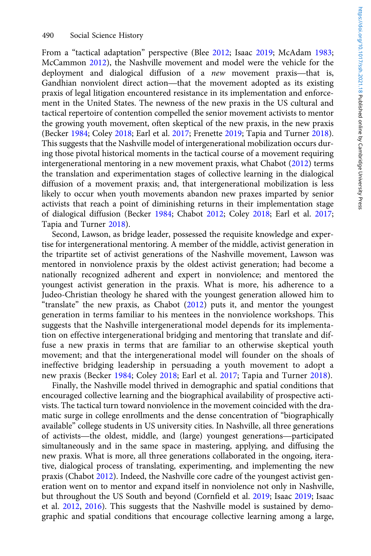From a "tactical adaptation" perspective (Blee 2012; Isaac 2019; McAdam 1983; McCammon 2012), the Nashville movement and model were the vehicle for the 490 Social Science History<br>From a "tactical adaptation" perspective (Blee 2012; Isaac 2019; McAdam 1983;<br>McCammon 2012), the Nashville movement and model were the vehicle for the<br>deployment and dialogical diffusion of a *n* From a "tactical adaptation" perspective (Blee 2012; Isaac 2019; McAdam 1983; McCammon 2012), the Nashville movement and model were the vehicle for the deployment and dialogical diffusion of a *new* movement praxis—that is praxis of legal litigation encountered resistance in its implementation and enforcement in the United States. The newness of the new praxis in the US cultural and tactical repertoire of contention compelled the senior movement activists to mentor the growing youth movement, often skeptical of the new praxis, in the new praxis (Becker 1984; Coley 2018; Earl et al. 2017; Frenette 2019; Tapia and Turner 2018). This suggests that the Nashville model of intergenerational mobilization occurs during those pivotal historical moments in the tactical course of a movement requiring intergenerational mentoring in a new movement praxis, what Chabot (2012) terms the translation and experimentation stages of collective learning in the dialogical diffusion of a movement praxis; and, that intergenerational mobilization is less likely to occur when youth movements abandon new praxes imparted by senior activists that reach a point of diminishing returns in their implementation stage of dialogical diffusion (Becker 1984; Chabot 2012; Coley 2018; Earl et al. 2017; Tapia and Turner 2018).

Second, Lawson, as bridge leader, possessed the requisite knowledge and expertise for intergenerational mentoring. A member of the middle, activist generation in the tripartite set of activist generations of the Nashville movement, Lawson was mentored in nonviolence praxis by the oldest activist generation; had become a nationally recognized adherent and expert in nonviolence; and mentored the youngest activist generation in the praxis. What is more, his adherence to a Judeo-Christian theology he shared with the youngest generation allowed him to "translate" the new praxis, as Chabot (2012) puts it, and mentor the youngest generation in terms familiar to his mentees in the nonviolence workshops. This suggests that the Nashville intergenerational model depends for its implementation on effective intergenerational bridging and mentoring that translate and diffuse a new praxis in terms that are familiar to an otherwise skeptical youth movement; and that the intergenerational model will founder on the shoals of ineffective bridging leadership in persuading a youth movement to adopt a new praxis (Becker 1984; Coley 2018; Earl et al. 2017; Tapia and Turner 2018).

Finally, the Nashville model thrived in demographic and spatial conditions that encouraged collective learning and the biographical availability of prospective activists. The tactical turn toward nonviolence in the movement coincided with the dramatic surge in college enrollments and the dense concentration of "biographically available" college students in US university cities. In Nashville, all three generations of activists—the oldest, middle, and (large) youngest generations—participated simultaneously and in the same space in mastering, applying, and diffusing the new praxis. What is more, all three generations collaborated in the ongoing, iterative, dialogical process of translating, experimenting, and implementing the new praxis (Chabot 2012). Indeed, the Nashville core cadre of the youngest activist generation went on to mentor and expand itself in nonviolence not only in Nashville, but throughout the US South and beyond (Cornfield et al. 2019; Isaac 2019; Isaac et al. 2012, 2016). This suggests that the Nashville model is sustained by demographic and spatial conditions that encourage collective learning among a large,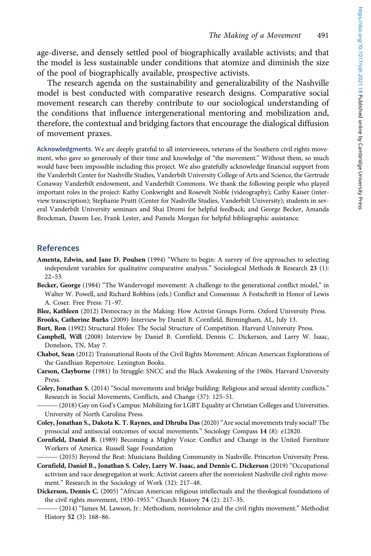age-diverse, and densely settled pool of biographically available activists; and that the model is less sustainable under conditions that atomize and diminish the size of the pool of biographically available, prospective activists.

The research agenda on the sustainability and generalizability of the Nashville model is best conducted with comparative research designs. Comparative social movement research can thereby contribute to our sociological understanding of the conditions that influence intergenerational mentoring and mobilization and, therefore, the contextual and bridging factors that encourage the dialogical diffusion of movement praxes.

Acknowledgments. We are deeply grateful to all interviewees, veterans of the Southern civil rights movement, who gave so generously of their time and knowledge of "the movement." Without them, so much would have been impossible including this project. We also gratefully acknowledge financial support from the Vanderbilt Center for Nashville Studies, Vanderbilt University College of Arts and Science, the Gertrude Conaway Vanderbilt endowment, and Vanderbilt Commons. We thank the following people who played important roles in the project: Kathy Conkwright and Rosevelt Noble (videography); Cathy Kaiser (interview transcription); Stephanie Pruitt (Center for Nashville Studies, Vanderbilt University); students in several Vanderbilt University seminars and Shai Dromi for helpful feedback; and George Becker, Amanda Brockman, Dasom Lee, Frank Lester, and Pamela Morgan for helpful bibliographic assistance.

#### References

- Amenta, Edwin, and Jane D. Poulsen (1994) "Where to begin: A survey of five approaches to selecting independent variables for qualitative comparative analysis." Sociological Methods & Research 23 (1): 22–53.
- Becker, George (1984) "The Wandervogel movement: A challenge to the generational conflict model," in Walter W. Powell, and Richard Robbins (eds.) Conflict and Consensus: A Festschrift in Honor of Lewis A. Coser. Free Press: 71–97.

Blee, Kathleen (2012) Democracy in the Making: How Activist Groups Form. Oxford University Press. Brooks, Catherine Burks (2009) Interview by Daniel B. Cornfield, Birmingham, AL, July 13.

- Burt, Ron (1992) Structural Holes: The Social Structure of Competition. Harvard University Press.
- Campbell, Will (2008) Interview by Daniel B. Cornfield, Dennis C. Dickerson, and Larry W. Isaac, Donelson, TN, May 7.
- Chabot, Sean (2012) Transnational Roots of the Civil Rights Movement: African American Explorations of the Gandhian Repertoire. Lexington Books.
- Carson, Clayborne (1981) In Struggle: SNCC and the Black Awakening of the 1960s. Harvard University Press.
- Coley, Jonathan S. (2014) "Social movements and bridge building: Religious and sexual identity conflicts." Research in Social Movements, Conflicts, and Change (37): 125–51.
- (2018) Gay on God's Campus: Mobilizing for LGBT Equality at Christian Colleges and Universities. University of North Carolina Press.
- Coley, Jonathan S., Dakota K. T. Raynes, and Dhruba Das (2020) "Are social movements truly social? The prosocial and antisocial outcomes of social movements." Sociology Compass 14 (8): e12820. ———
- Cornfield, Daniel B. (1989) Becoming a Mighty Voice: Conflict and Change in the United Furniture Workers of America. Russell Sage Foundation
	- (2015) Beyond the Beat: Musicians Building Community in Nashville. Princeton University Press.
- Cornfield, Daniel B., Jonathan S. Coley, Larry W. Isaac, and Dennis C. Dickerson (2019) "Occupational activism and race desegregation at work: Activist careers after the nonviolent Nashville civil rights movement." Research in the Sociology of Work (32): 217–48.
- Dickerson, Dennis C. (2005) "African American religious intellectuals and the theological foundations of the civil rights movement, 1930–1955." Church History 74 (2): 217–35.
	- (2014) "James M. Lawson, Jr.: Methodism, nonviolence and the civil rights movement." Methodist History 52 (3): 168–86.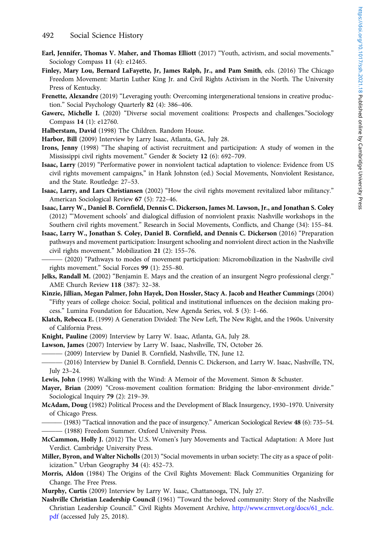- Earl, Jennifer, Thomas V. Maher, and Thomas Elliott (2017) "Youth, activism, and social movements." Sociology Compass 11 (4): e12465.
- Finley, Mary Lou, Bernard LaFayette, Jr, James Ralph, Jr., and Pam Smith, eds. (2016) The Chicago Freedom Movement: Martin Luther King Jr. and Civil Rights Activism in the North. The University Press of Kentucky.
- Frenette, Alexandre (2019) "Leveraging youth: Overcoming intergenerational tensions in creative production." Social Psychology Quarterly 82 (4): 386–406.
- Gawerc, Michelle I. (2020) "Diverse social movement coalitions: Prospects and challenges."Sociology Compass 14 (1): e12760.
- Halberstam, David (1998) The Children. Random House.
- Harbor, Bill (2009) Interview by Larry Isaac, Atlanta, GA, July 28.
- Irons, Jenny (1998) "The shaping of activist recruitment and participation: A study of women in the Mississippi civil rights movement." Gender & Society 12 (6): 692–709.
- Isaac, Larry (2019) "Performative power in nonviolent tactical adaptation to violence: Evidence from US civil rights movement campaigns," in Hank Johnston (ed.) Social Movements, Nonviolent Resistance, and the State. Routledge: 27–53.
- Isaac, Larry, and Lars Christiansen (2002) "How the civil rights movement revitalized labor militancy." American Sociological Review 67 (5): 722–46.
- Isaac, Larry W., Daniel B. Cornfield, Dennis C. Dickerson, James M. Lawson, Jr., and Jonathan S. Coley (2012) "'Movement schools' and dialogical diffusion of nonviolent praxis: Nashville workshops in the Southern civil rights movement." Research in Social Movements, Conflicts, and Change (34): 155–84.
- Isaac, Larry W., Jonathan S. Coley, Daniel B. Cornfield, and Dennis C. Dickerson (2016) "Preparation ——pathways and movement participation: Insurgent schooling and nonviolent direct action in the Nashville civil rights movement." Mobilization 21 (2): 155–76.
- (2020) "Pathways to modes of movement participation: Micromobilization in the Nashville civil rights movement." Social Forces 99 (1): 255–80.
- Jelks, Randall M. (2002) "Benjamin E. Mays and the creation of an insurgent Negro professional clergy." AME Church Review 118 (387): 32–38.
- Kinzie, Jillian, Megan Palmer, John Hayek, Don Hossler, Stacy A. Jacob and Heather Cummings (2004) "Fifty years of college choice: Social, political and institutional influences on the decision making process." Lumina Foundation for Education, New Agenda Series, vol. 5 (3): 1–66.
- Klatch, Rebecca E. (1999) A Generation Divided: The New Left, The New Right, and the 1960s. University of California Press.
- Knight, Pauline (2009) Interview by Larry W. Isaac, Atlanta, GA, July 28. ———
- Lawson, James (2007) Interview by Larry W. Isaac, Nashville, TN, October 26.
- (2009) Interview by Daniel B. Cornfield, Nashville, TN, June 12.
- (2016) Interview by Daniel B. Cornfield, Dennis C. Dickerson, and Larry W. Isaac, Nashville, TN, July 23–24.
- Lewis, John (1998) Walking with the Wind: A Memoir of the Movement. Simon & Schuster.
- Mayer, Brian (2009) "Cross-movement coalition formation: Bridging the labor-environment divide." Sociological Inquiry 79 (2): 219-39.
- McAdam, Doug (1982) Political Process and the Development of Black Insurgency, 1930–1970. University of Chicago Press.
	- (1983) "Tactical innovation and the pace of insurgency." American Sociological Review 48 (6): 735–54. (1988) Freedom Summer. Oxford University Press.
- McCammon, Holly J. (2012) The U.S. Women's Jury Movements and Tactical Adaptation: A More Just Verdict. Cambridge University Press.
- Miller, Byron, and Walter Nicholls (2013) "Social movements in urban society: The city as a space of politicization." Urban Geography 34 (4): 452–73.
- Morris, Aldon (1984) The Origins of the Civil Rights Movement: Black Communities Organizing for Change. The Free Press.
- Murphy, Curtis (2009) Interview by Larry W. Isaac, Chattanooga, TN, July 27.
- Nashville Christian Leadership Council (1961) "Toward the beloved community: Story of the Nashville Christian Leadership Council." Civil Rights Movement Archive, [http://www.crmvet.org/docs/61\\_nclc.](http://www.crmvet.org/docs/61_nclc.pdf) [pdf](http://www.crmvet.org/docs/61_nclc.pdf) (accessed July 25, 2018).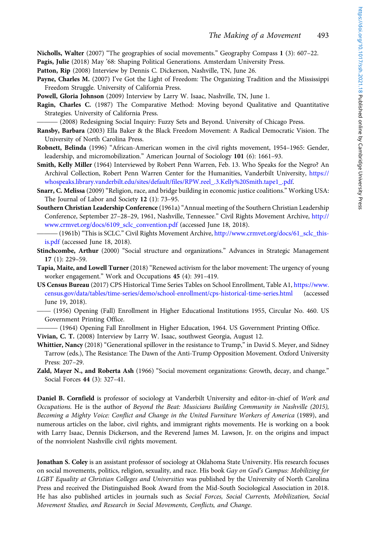Nicholls, Walter (2007) "The geographies of social movements." Geography Compass 1 (3): 607–22.

Pagis, Julie (2018) May '68: Shaping Political Generations. Amsterdam University Press.

Patton, Rip (2008) Interview by Dennis C. Dickerson, Nashville, TN, June 26.

Payne, Charles M. (2007) I've Got the Light of Freedom: The Organizing Tradition and the Mississippi Freedom Struggle. University of California Press.

Powell, Gloria Johnson (2009) Interview by Larry W. Isaac, Nashville, TN, June 1.

Ragin, Charles C. (1987) The Comparative Method: Moving beyond Qualitative and Quantitative Strategies. University of California Press.

(2008) Redesigning Social Inquiry: Fuzzy Sets and Beyond. University of Chicago Press.

- Ransby, Barbara (2003) Ella Baker & the Black Freedom Movement: A Radical Democratic Vision. The University of North Carolina Press.
- Robnett, Belinda (1996) "African-American women in the civil rights movement, 1954–1965: Gender, leadership, and micromobilization." American Journal of Sociology 101 (6): 1661–93.
- Smith, Kelly Miller (1964) Interviewed by Robert Penn Warren, Feb. 13. Who Speaks for the Negro? An Archival Collection, Robert Penn Warren Center for the Humanities, Vanderbilt University, [https://](https://whospeaks.library.vanderbilt.edu/sites/default/files/RPW.reel_.3.Kelly%20Smith.tape1_.pdf) [whospeaks.library.vanderbilt.edu/sites/default/files/RPW.reel\\_.3.Kelly%20Smith.tape1\\_.pdf.](https://whospeaks.library.vanderbilt.edu/sites/default/files/RPW.reel_.3.Kelly%20Smith.tape1_.pdf)
- Snarr, C. Melissa (2009) "Religion, race, and bridge building in economic justice coalitions." Working USA: The Journal of Labor and Society 12 (1): 73–95.
- Southern Christian Leadership Conference (1961a) "Annual meeting of the Southern Christian Leadership Conference, September 27–28–29, 1961, Nashville, Tennessee." Civil Rights Movement Archive, [http://](http://www.crmvet.org/docs/6109_sclc_convention.pdf) [www.crmvet.org/docs/6109\\_sclc\\_convention.pdf](http://www.crmvet.org/docs/6109_sclc_convention.pdf) (accessed June 18, 2018).
- (1961b) "This is SCLC." Civil Rights Movement Archive, [http://www.crmvet.org/docs/61\\_sclc\\_this](http://www.crmvet.org/docs/61_sclc_this-is.pdf)[is.pdf](http://www.crmvet.org/docs/61_sclc_this-is.pdf) (accessed June 18, 2018).
- Stinchcombe, Arthur (2000) "Social structure and organizations." Advances in Strategic Management 17 (1): 229–59.
- Tapia, Maite, and Lowell Turner (2018) "Renewed activism for the labor movement: The urgency of young worker engagement." Work and Occupations 45 (4): 391–419.
- US Census Bureau (2017) CPS Historical Time Series Tables on School Enrollment, Table A1, [https://www.](https://www.census.gov/data/tables/time-series/demo/school-enrollment/cps-historical-time-series.html) —[census.gov/data/tables/time-series/demo/school-enrollment/cps-historical-time-series.html](https://www.census.gov/data/tables/time-series/demo/school-enrollment/cps-historical-time-series.html) (accessed June 19, 2018).
	- (1956) Opening (Fall) Enrollment in Higher Educational Institutions 1955, Circular No. 460. US Government Printing Office.
- (1964) Opening Fall Enrollment in Higher Education, 1964. US Government Printing Office. Vivian, C. T. (2008) Interview by Larry W. Isaac, southwest Georgia, August 12.
- Whittier, Nancy (2018) "Generational spillover in the resistance to Trump," in David S. Meyer, and Sidney Tarrow (eds.), The Resistance: The Dawn of the Anti-Trump Opposition Movement. Oxford University Press: 207–29.
- Zald, Mayer N., and Roberta Ash (1966) "Social movement organizations: Growth, decay, and change." Social Forces 44 (3): 327–41.

Daniel B. Cornfield is professor of sociology at Vanderbilt University and editor-in-chief of Work and Occupations. He is the author of Beyond the Beat: Musicians Building Community in Nashville (2015), Becoming a Mighty Voice: Conflict and Change in the United Furniture Workers of America (1989), and numerous articles on the labor, civil rights, and immigrant rights movements. He is working on a book with Larry Isaac, Dennis Dickerson, and the Reverend James M. Lawson, Jr. on the origins and impact of the nonviolent Nashville civil rights movement.

Jonathan S. Coley is an assistant professor of sociology at Oklahoma State University. His research focuses on social movements, politics, religion, sexuality, and race. His book Gay on God's Campus: Mobilizing for LGBT Equality at Christian Colleges and Universities was published by the University of North Carolina Press and received the Distinguished Book Award from the Mid-South Sociological Association in 2018. He has also published articles in journals such as Social Forces, Social Currents, Mobilization, Social Movement Studies, and Research in Social Movements, Conflicts, and Change.